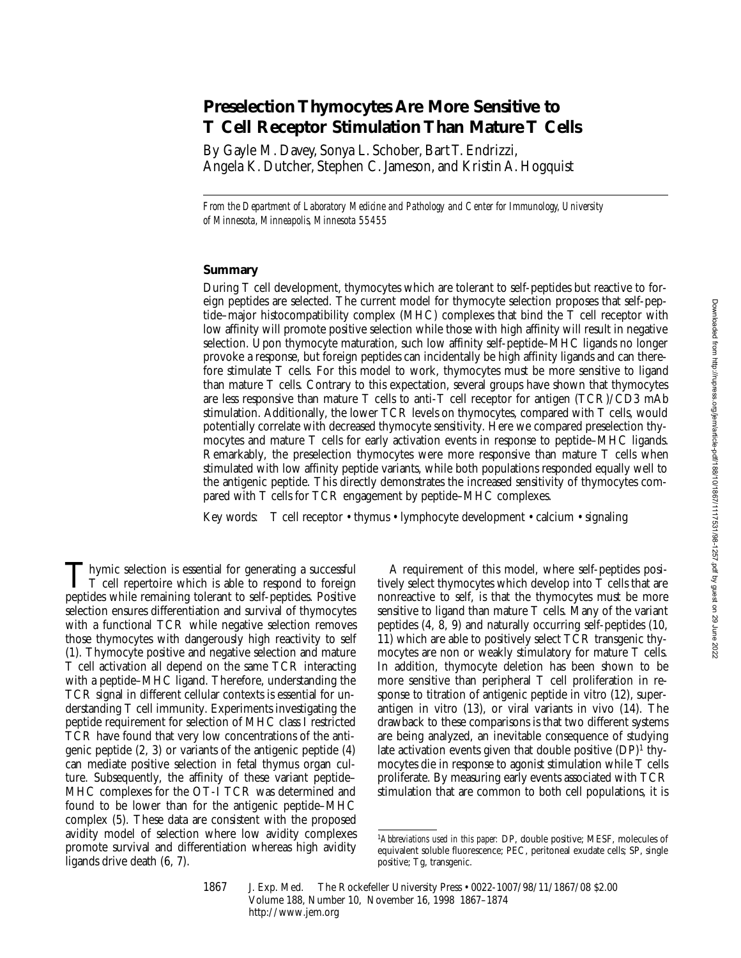# **Preselection Thymocytes Are More Sensitive to T Cell Receptor Stimulation Than Mature T Cells**

By Gayle M. Davey, Sonya L. Schober, Bart T. Endrizzi, Angela K. Dutcher, Stephen C. Jameson, and Kristin A. Hogquist

*From the Department of Laboratory Medicine and Pathology and Center for Immunology, University of Minnesota, Minneapolis, Minnesota 55455*

## **Summary**

During T cell development, thymocytes which are tolerant to self-peptides but reactive to foreign peptides are selected. The current model for thymocyte selection proposes that self-peptide–major histocompatibility complex (MHC) complexes that bind the T cell receptor with low affinity will promote positive selection while those with high affinity will result in negative selection. Upon thymocyte maturation, such low affinity self-peptide–MHC ligands no longer provoke a response, but foreign peptides can incidentally be high affinity ligands and can therefore stimulate T cells. For this model to work, thymocytes must be more sensitive to ligand than mature T cells. Contrary to this expectation, several groups have shown that thymocytes are less responsive than mature T cells to anti-T cell receptor for antigen (TCR)/CD3 mAb stimulation. Additionally, the lower TCR levels on thymocytes, compared with T cells, would potentially correlate with decreased thymocyte sensitivity. Here we compared preselection thymocytes and mature T cells for early activation events in response to peptide–MHC ligands. Remarkably, the preselection thymocytes were more responsive than mature T cells when stimulated with low affinity peptide variants, while both populations responded equally well to the antigenic peptide. This directly demonstrates the increased sensitivity of thymocytes compared with T cells for TCR engagement by peptide–MHC complexes.

Key words: T cell receptor • thymus • lymphocyte development • calcium • signaling

Thymic selection is essential for generating a successful<br>
T cell repertoire which is able to respond to foreign<br>
negative which is able to respond to foreign peptides while remaining tolerant to self-peptides. Positive selection ensures differentiation and survival of thymocytes with a functional TCR while negative selection removes those thymocytes with dangerously high reactivity to self (1). Thymocyte positive and negative selection and mature T cell activation all depend on the same TCR interacting with a peptide–MHC ligand. Therefore, understanding the TCR signal in different cellular contexts is essential for understanding T cell immunity. Experiments investigating the peptide requirement for selection of MHC class I restricted TCR have found that very low concentrations of the antigenic peptide (2, 3) or variants of the antigenic peptide (4) can mediate positive selection in fetal thymus organ culture. Subsequently, the affinity of these variant peptide– MHC complexes for the OT-I TCR was determined and found to be lower than for the antigenic peptide–MHC complex (5). These data are consistent with the proposed avidity model of selection where low avidity complexes promote survival and differentiation whereas high avidity ligands drive death (6, 7).

A requirement of this model, where self-peptides positively select thymocytes which develop into T cells that are nonreactive to self, is that the thymocytes must be more sensitive to ligand than mature T cells. Many of the variant peptides (4, 8, 9) and naturally occurring self-peptides (10, 11) which are able to positively select TCR transgenic thymocytes are non or weakly stimulatory for mature T cells. In addition, thymocyte deletion has been shown to be more sensitive than peripheral T cell proliferation in response to titration of antigenic peptide in vitro (12), superantigen in vitro (13), or viral variants in vivo (14). The drawback to these comparisons is that two different systems are being analyzed, an inevitable consequence of studying late activation events given that double positive  $(DP)^1$  thymocytes die in response to agonist stimulation while T cells proliferate. By measuring early events associated with TCR stimulation that are common to both cell populations, it is

<sup>1</sup>*Abbreviations used in this paper:* DP, double positive; MESF, molecules of equivalent soluble fluorescence; PEC, peritoneal exudate cells; SP, single positive; Tg, transgenic.

<sup>1867</sup> J. Exp. Med. The Rockefeller University Press • 0022-1007/98/11/1867/08 \$2.00 Volume 188, Number 10, November 16, 1998 1867–1874 http://www.jem.org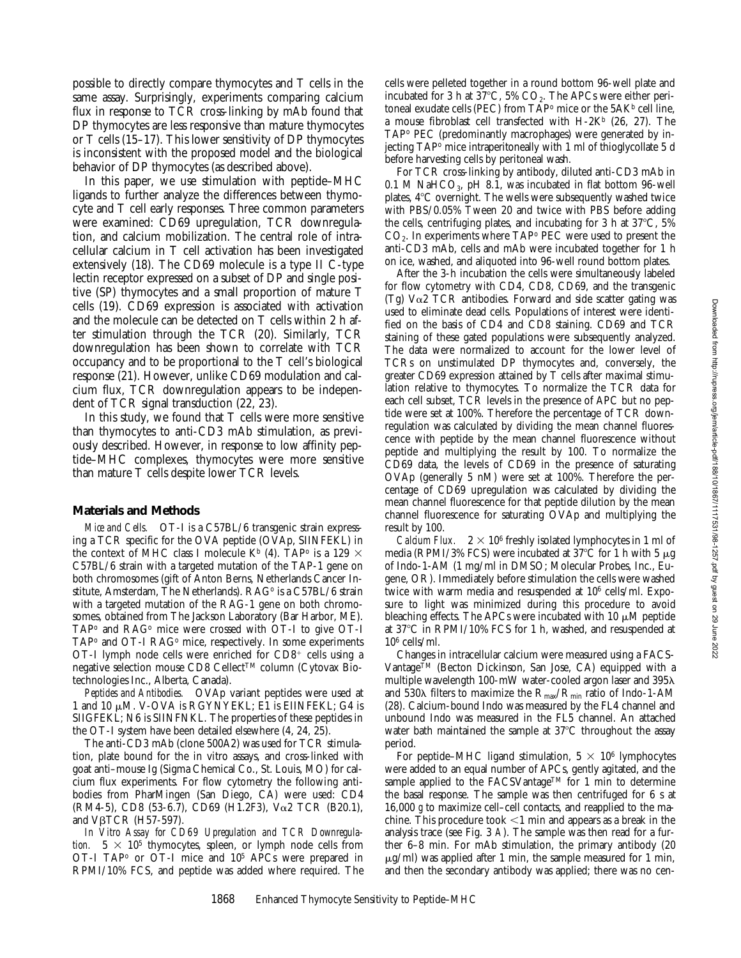possible to directly compare thymocytes and T cells in the same assay. Surprisingly, experiments comparing calcium flux in response to TCR cross-linking by mAb found that DP thymocytes are less responsive than mature thymocytes or T cells (15–17). This lower sensitivity of DP thymocytes is inconsistent with the proposed model and the biological behavior of DP thymocytes (as described above).

In this paper, we use stimulation with peptide–MHC ligands to further analyze the differences between thymocyte and T cell early responses. Three common parameters were examined: CD69 upregulation, TCR downregulation, and calcium mobilization. The central role of intracellular calcium in T cell activation has been investigated extensively (18). The CD69 molecule is a type II C-type lectin receptor expressed on a subset of DP and single positive (SP) thymocytes and a small proportion of mature T cells (19). CD69 expression is associated with activation and the molecule can be detected on T cells within 2 h after stimulation through the TCR (20). Similarly, TCR downregulation has been shown to correlate with TCR occupancy and to be proportional to the T cell's biological response (21). However, unlike CD69 modulation and calcium flux, TCR downregulation appears to be independent of TCR signal transduction (22, 23).

In this study, we found that T cells were more sensitive than thymocytes to anti-CD3 mAb stimulation, as previously described. However, in response to low affinity peptide–MHC complexes, thymocytes were more sensitive than mature T cells despite lower TCR levels.

## **Materials and Methods**

*Mice and Cells.* OT-I is a C57BL/6 transgenic strain expressing a TCR specific for the OVA peptide (OVAp, SIINFEKL) in the context of MHC class I molecule K<sup>b</sup> (4). TAP<sup>o</sup> is a 129  $\times$ C57BL/6 strain with a targeted mutation of the TAP-1 gene on both chromosomes (gift of Anton Berns, Netherlands Cancer Institute, Amsterdam, The Netherlands). RAG<sup>o</sup> is a C57BL/6 strain with a targeted mutation of the RAG-1 gene on both chromosomes, obtained from The Jackson Laboratory (Bar Harbor, ME).  $TAP^{\circ}$  and  $RAG^{\circ}$  mice were crossed with OT-I to give OT-I TAP<sup>o</sup> and OT-I RAG<sup>o</sup> mice, respectively. In some experiments OT-I lymph node cells were enriched for  $CD8<sup>+</sup>$  cells using a negative selection mouse CD8 Cellect™ column (Cytovax Biotechnologies Inc., Alberta, Canada).

*Peptides and Antibodies.* OVAp variant peptides were used at 1 and 10 μM. V-OVA is RGYNYEKL; E1 is EIINFEKL; G4 is SIIGFEKL; N6 is SIINFNKL. The properties of these peptides in the OT-I system have been detailed elsewhere (4, 24, 25).

The anti-CD3 mAb (clone 500A2) was used for TCR stimulation, plate bound for the in vitro assays, and cross-linked with goat anti–mouse Ig (Sigma Chemical Co., St. Louis, MO) for calcium flux experiments. For flow cytometry the following antibodies from PharMingen (San Diego, CA) were used: CD4 (RM4-5), CD8 (53-6.7), CD69 (H1.2F3), Va2 TCR (B20.1), and VβTCR (H57-597).

*In Vitro Assay for CD69 Upregulation and TCR Downregulation.*  $5 \times 10^5$  thymocytes, spleen, or lymph node cells from OT-I TAP<sup>o</sup> or OT-I mice and 10<sup>5</sup> APCs were prepared in RPMI/10% FCS, and peptide was added where required. The

cells were pelleted together in a round bottom 96-well plate and incubated for 3 h at  $37^{\circ}$ C, 5% CO<sub>2</sub>. The APCs were either peritoneal exudate cells (PEC) from TAP<sup>o</sup> mice or the 5AK<sup>b</sup> cell line, a mouse fibroblast cell transfected with  $H-2K^b$  (26, 27). The TAPo PEC (predominantly macrophages) were generated by injecting TAPo mice intraperitoneally with 1 ml of thioglycollate 5 d before harvesting cells by peritoneal wash.

For TCR cross-linking by antibody, diluted anti-CD3 mAb in  $0.1$  M NaHCO<sub>3</sub>, pH 8.1, was incubated in flat bottom 96-well plates,  $4^{\circ}$ C overnight. The wells were subsequently washed twice with PBS/0.05% Tween 20 and twice with PBS before adding the cells, centrifuging plates, and incubating for 3 h at  $37^{\circ}$ C, 5%  $CO<sub>2</sub>$ . In experiments where TAP<sup>o</sup> PEC were used to present the anti-CD3 mAb, cells and mAb were incubated together for 1 h on ice, washed, and aliquoted into 96-well round bottom plates.

After the 3-h incubation the cells were simultaneously labeled for flow cytometry with CD4, CD8, CD69, and the transgenic (Tg)  $V\alpha$ 2 TCR antibodies. Forward and side scatter gating was used to eliminate dead cells. Populations of interest were identified on the basis of CD4 and CD8 staining. CD69 and TCR staining of these gated populations were subsequently analyzed. The data were normalized to account for the lower level of TCRs on unstimulated DP thymocytes and, conversely, the greater CD69 expression attained by T cells after maximal stimulation relative to thymocytes. To normalize the TCR data for each cell subset, TCR levels in the presence of APC but no peptide were set at 100%. Therefore the percentage of TCR downregulation was calculated by dividing the mean channel fluorescence with peptide by the mean channel fluorescence without peptide and multiplying the result by 100. To normalize the CD69 data, the levels of CD69 in the presence of saturating OVAp (generally 5 nM) were set at 100%. Therefore the percentage of CD69 upregulation was calculated by dividing the mean channel fluorescence for that peptide dilution by the mean channel fluorescence for saturating OVAp and multiplying the result by 100.

*Calcium Flux.*  $2 \times 10^6$  freshly isolated lymphocytes in 1 ml of media (RPMI/3% FCS) were incubated at  $37^{\circ}$ C for 1 h with 5  $\mu$ g of Indo-1-AM (1 mg/ml in DMSO; Molecular Probes, Inc., Eugene, OR). Immediately before stimulation the cells were washed twice with warm media and resuspended at 106 cells/ml. Exposure to light was minimized during this procedure to avoid bleaching effects. The APCs were incubated with 10  $\mu$ M peptide at  $37^{\circ}$ C in RPMI/10% FCS for 1 h, washed, and resuspended at  $10<sup>6</sup>$  cells/ml.

Changes in intracellular calcium were measured using a FACS-VantageTM (Becton Dickinson, San Jose, CA) equipped with a multiple wavelength 100-mW water-cooled argon laser and  $395\lambda$ and 530 $\lambda$  filters to maximize the  $R_{\text{max}}/R_{\text{min}}$  ratio of Indo-1-AM (28). Calcium-bound Indo was measured by the FL4 channel and unbound Indo was measured in the FL5 channel. An attached water bath maintained the sample at  $37^{\circ}$ C throughout the assay period.

For peptide–MHC ligand stimulation,  $5 \times 10^6$  lymphocytes were added to an equal number of APCs, gently agitated, and the sample applied to the FACSVantage<sup>TM</sup> for 1 min to determine the basal response. The sample was then centrifuged for 6 s at 16,000 *g* to maximize cell–cell contacts, and reapplied to the machine. This procedure took  $\leq 1$  min and appears as a break in the analysis trace (see Fig. 3 *A*). The sample was then read for a further 6–8 min. For mAb stimulation, the primary antibody (20  $\mu$ g/ml) was applied after 1 min, the sample measured for 1 min, and then the secondary antibody was applied; there was no cen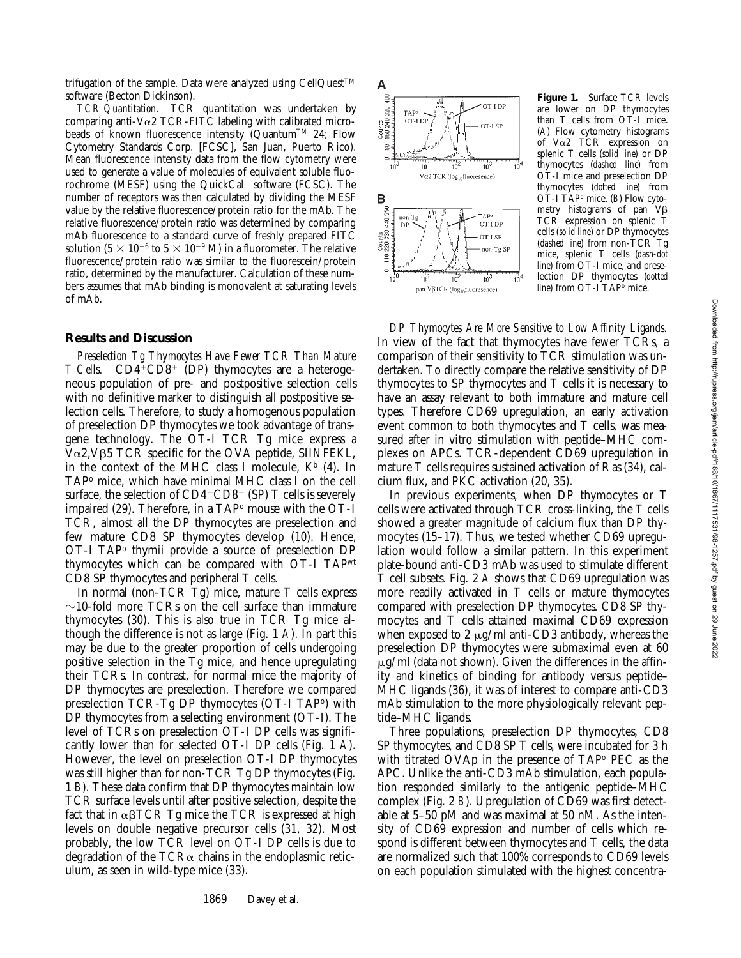trifugation of the sample. Data were analyzed using CellQuest<sup>™</sup> software (Becton Dickinson).

*TCR Quantitation.* TCR quantitation was undertaken by comparing anti-V $\alpha$ 2 TCR-FITC labeling with calibrated microbeads of known fluorescence intensity (QuantumTM 24; Flow Cytometry Standards Corp. [FCSC], San Juan, Puerto Rico). Mean fluorescence intensity data from the flow cytometry were used to generate a value of molecules of equivalent soluble fluorochrome (MESF) using the QuickCal® software (FCSC). The number of receptors was then calculated by dividing the MESF value by the relative fluorescence/protein ratio for the mAb. The relative fluorescence/protein ratio was determined by comparing mAb fluorescence to a standard curve of freshly prepared FITC solution (5  $\times$  10<sup>-6</sup> to 5  $\times$  10<sup>-9</sup> M) in a fluorometer. The relative fluorescence/protein ratio was similar to the fluorescein/protein ratio, determined by the manufacturer. Calculation of these numbers assumes that mAb binding is monovalent at saturating levels of mAb.

#### **Results and Discussion**

*Preselection Tg Thymocytes Have Fewer TCR Than Mature T Cells.* CD4<sup>+</sup>CD8<sup>+</sup> (DP) thymocytes are a heterogeneous population of pre- and postpositive selection cells with no definitive marker to distinguish all postpositive selection cells. Therefore, to study a homogenous population of preselection DP thymocytes we took advantage of transgene technology. The OT-I TCR Tg mice express a  $V\alpha$ 2, V $\beta$ 5 TCR specific for the OVA peptide, SIINFEKL, in the context of the MHC class I molecule,  $K^b$  (4). In TAPo mice, which have minimal MHC class I on the cell surface, the selection of  $CD4$ <sup>-</sup> $CD8$ <sup>+</sup> (SP) T cells is severely impaired  $(29)$ . Therefore, in a TAP $\circ$  mouse with the OT-I TCR, almost all the DP thymocytes are preselection and few mature CD8 SP thymocytes develop (10). Hence, OT-I TAPo thymii provide a source of preselection DP thymocytes which can be compared with OT-I TAPwt CD8 SP thymocytes and peripheral T cells.

In normal (non-TCR Tg) mice, mature T cells express  $\sim$ 10-fold more TCRs on the cell surface than immature thymocytes (30). This is also true in TCR Tg mice although the difference is not as large (Fig. 1 *A*). In part this may be due to the greater proportion of cells undergoing positive selection in the Tg mice, and hence upregulating their TCRs. In contrast, for normal mice the majority of DP thymocytes are preselection. Therefore we compared preselection TCR-Tg DP thymocytes (OT-I TAPo) with DP thymocytes from a selecting environment (OT-I). The level of TCRs on preselection OT-I DP cells was significantly lower than for selected OT-I DP cells (Fig. 1 A). However, the level on preselection OT-I DP thymocytes was still higher than for non-TCR Tg DP thymocytes (Fig. 1 *B*). These data confirm that DP thymocytes maintain low TCR surface levels until after positive selection, despite the fact that in  $\alpha\beta$ TCR Tg mice the TCR is expressed at high levels on double negative precursor cells (31, 32). Most probably, the low TCR level on OT-I DP cells is due to degradation of the TCR $\alpha$  chains in the endoplasmic reticulum, as seen in wild-type mice (33).



**Figure 1.** Surface TCR levels are lower on DP thymocytes than T cells from OT-I mice. (*A*) Flow cytometry histograms of Va2 TCR expression on splenic T cells (*solid line*) or DP thymocytes (*dashed line*) from OT-I mice and preselection DP thymocytes (*dotted line*) from OT-I TAPo mice. (*B*) Flow cytometry histograms of pan  $V\beta$ TCR expression on splenic T cells (*solid line*) or DP thymocytes (*dashed line*) from non-TCR Tg mice, splenic T cells (*dash-dot line*) from OT-I mice, and preselection DP thymocytes (*dotted line*) from OT-I TAP<sup>o</sup> mice.

*DP Thymocytes Are More Sensitive to Low Affinity Ligands.* In view of the fact that thymocytes have fewer TCRs, a comparison of their sensitivity to TCR stimulation was undertaken. To directly compare the relative sensitivity of DP thymocytes to SP thymocytes and T cells it is necessary to have an assay relevant to both immature and mature cell types. Therefore CD69 upregulation, an early activation event common to both thymocytes and T cells, was measured after in vitro stimulation with peptide–MHC complexes on APCs. TCR-dependent CD69 upregulation in mature T cells requires sustained activation of Ras (34), calcium flux, and PKC activation (20, 35).

In previous experiments, when DP thymocytes or T cells were activated through TCR cross-linking, the T cells showed a greater magnitude of calcium flux than DP thymocytes (15–17). Thus, we tested whether CD69 upregulation would follow a similar pattern. In this experiment plate-bound anti-CD3 mAb was used to stimulate different T cell subsets. Fig. 2 *A* shows that CD69 upregulation was more readily activated in T cells or mature thymocytes compared with preselection DP thymocytes. CD8 SP thymocytes and T cells attained maximal CD69 expression when exposed to 2  $\mu$ g/ml anti-CD3 antibody, whereas the preselection DP thymocytes were submaximal even at 60  $\mu$ g/ml (data not shown). Given the differences in the affinity and kinetics of binding for antibody versus peptide– MHC ligands (36), it was of interest to compare anti-CD3 mAb stimulation to the more physiologically relevant peptide–MHC ligands.

Three populations, preselection DP thymocytes, CD8 SP thymocytes, and CD8 SP T cells, were incubated for 3 h with titrated OVAp in the presence of TAPo PEC as the APC. Unlike the anti-CD3 mAb stimulation, each population responded similarly to the antigenic peptide–MHC complex (Fig. 2 *B*). Upregulation of CD69 was first detectable at 5–50 pM and was maximal at 50 nM. As the intensity of CD69 expression and number of cells which respond is different between thymocytes and T cells, the data are normalized such that 100% corresponds to CD69 levels on each population stimulated with the highest concentra-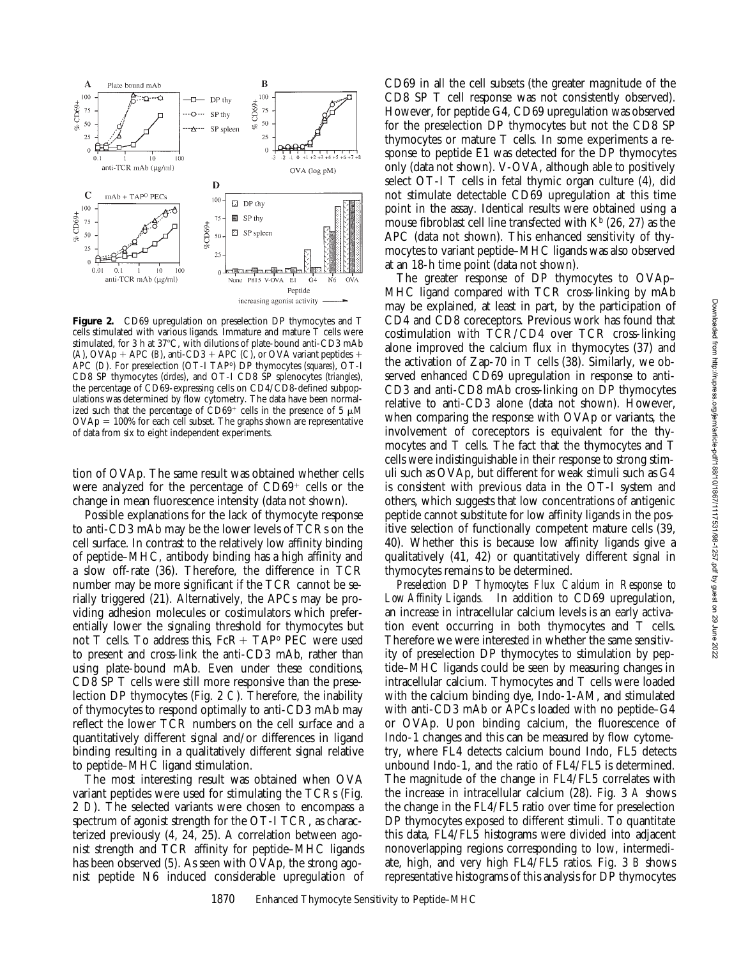

**Figure 2.** CD69 upregulation on preselection DP thymocytes and T cells stimulated with various ligands. Immature and mature T cells were stimulated, for 3 h at 37°C, with dilutions of plate-bound anti-CD3 mAb (*A*), OVAp + APC (*B*), anti-CD3 + APC (*C*), or OVA variant peptides + APC (*D*). For preselection (OT-I TAPo) DP thymocytes (*squares*), OT-I CD8 SP thymocytes (*circles*), and OT-I CD8 SP splenocytes (*triangles*), the percentage of CD69-expressing cells on CD4/CD8-defined subpopulations was determined by flow cytometry. The data have been normalized such that the percentage of  $\text{CD}69^+$  cells in the presence of 5  $\mu$ M  $\text{OVAp} = 100\%$  for each cell subset. The graphs shown are representative of data from six to eight independent experiments.

tion of OVAp. The same result was obtained whether cells were analyzed for the percentage of  $CD69<sup>+</sup>$  cells or the change in mean fluorescence intensity (data not shown).

Possible explanations for the lack of thymocyte response to anti-CD3 mAb may be the lower levels of TCRs on the cell surface. In contrast to the relatively low affinity binding of peptide–MHC, antibody binding has a high affinity and a slow off-rate (36). Therefore, the difference in TCR number may be more significant if the TCR cannot be serially triggered (21). Alternatively, the APCs may be providing adhesion molecules or costimulators which preferentially lower the signaling threshold for thymocytes but not T cells. To address this,  $FcR+TAP<sup>o</sup> PEC$  were used to present and cross-link the anti-CD3 mAb, rather than using plate-bound mAb. Even under these conditions, CD8 SP T cells were still more responsive than the preselection DP thymocytes (Fig. 2 *C*). Therefore, the inability of thymocytes to respond optimally to anti-CD3 mAb may reflect the lower TCR numbers on the cell surface and a quantitatively different signal and/or differences in ligand binding resulting in a qualitatively different signal relative to peptide–MHC ligand stimulation.

The most interesting result was obtained when OVA variant peptides were used for stimulating the TCRs (Fig. 2 *D*). The selected variants were chosen to encompass a spectrum of agonist strength for the OT-I TCR, as characterized previously (4, 24, 25). A correlation between agonist strength and TCR affinity for peptide–MHC ligands has been observed (5). As seen with OVAp, the strong agonist peptide N6 induced considerable upregulation of CD69 in all the cell subsets (the greater magnitude of the CD8 SP T cell response was not consistently observed). However, for peptide G4, CD69 upregulation was observed for the preselection DP thymocytes but not the CD8 SP thymocytes or mature T cells. In some experiments a response to peptide E1 was detected for the DP thymocytes only (data not shown). V-OVA, although able to positively select OT-I T cells in fetal thymic organ culture (4), did not stimulate detectable CD69 upregulation at this time point in the assay. Identical results were obtained using a mouse fibroblast cell line transfected with  $K<sup>b</sup>$  (26, 27) as the APC (data not shown). This enhanced sensitivity of thymocytes to variant peptide–MHC ligands was also observed at an 18-h time point (data not shown).

The greater response of DP thymocytes to OVAp– MHC ligand compared with TCR cross-linking by mAb may be explained, at least in part, by the participation of CD4 and CD8 coreceptors. Previous work has found that costimulation with TCR/CD4 over TCR cross-linking alone improved the calcium flux in thymocytes (37) and the activation of Zap-70 in T cells (38). Similarly, we observed enhanced CD69 upregulation in response to anti-CD3 and anti-CD8 mAb cross-linking on DP thymocytes relative to anti-CD3 alone (data not shown). However, when comparing the response with OVAp or variants, the involvement of coreceptors is equivalent for the thymocytes and T cells. The fact that the thymocytes and T cells were indistinguishable in their response to strong stimuli such as OVAp, but different for weak stimuli such as G4 is consistent with previous data in the OT-I system and others, which suggests that low concentrations of antigenic peptide cannot substitute for low affinity ligands in the positive selection of functionally competent mature cells (39, 40). Whether this is because low affinity ligands give a qualitatively (41, 42) or quantitatively different signal in thymocytes remains to be determined.

*Preselection DP Thymocytes Flux Calcium in Response to Low Affinity Ligands.* In addition to CD69 upregulation, an increase in intracellular calcium levels is an early activation event occurring in both thymocytes and T cells. Therefore we were interested in whether the same sensitivity of preselection DP thymocytes to stimulation by peptide–MHC ligands could be seen by measuring changes in intracellular calcium. Thymocytes and T cells were loaded with the calcium binding dye, Indo-1-AM, and stimulated with anti-CD3 mAb or APCs loaded with no peptide–G4 or OVAp. Upon binding calcium, the fluorescence of Indo-1 changes and this can be measured by flow cytometry, where FL4 detects calcium bound Indo, FL5 detects unbound Indo-1, and the ratio of FL4/FL5 is determined. The magnitude of the change in FL4/FL5 correlates with the increase in intracellular calcium (28). Fig. 3 *A* shows the change in the FL4/FL5 ratio over time for preselection DP thymocytes exposed to different stimuli. To quantitate this data, FL4/FL5 histograms were divided into adjacent nonoverlapping regions corresponding to low, intermediate, high, and very high FL4/FL5 ratios. Fig. 3 *B* shows representative histograms of this analysis for DP thymocytes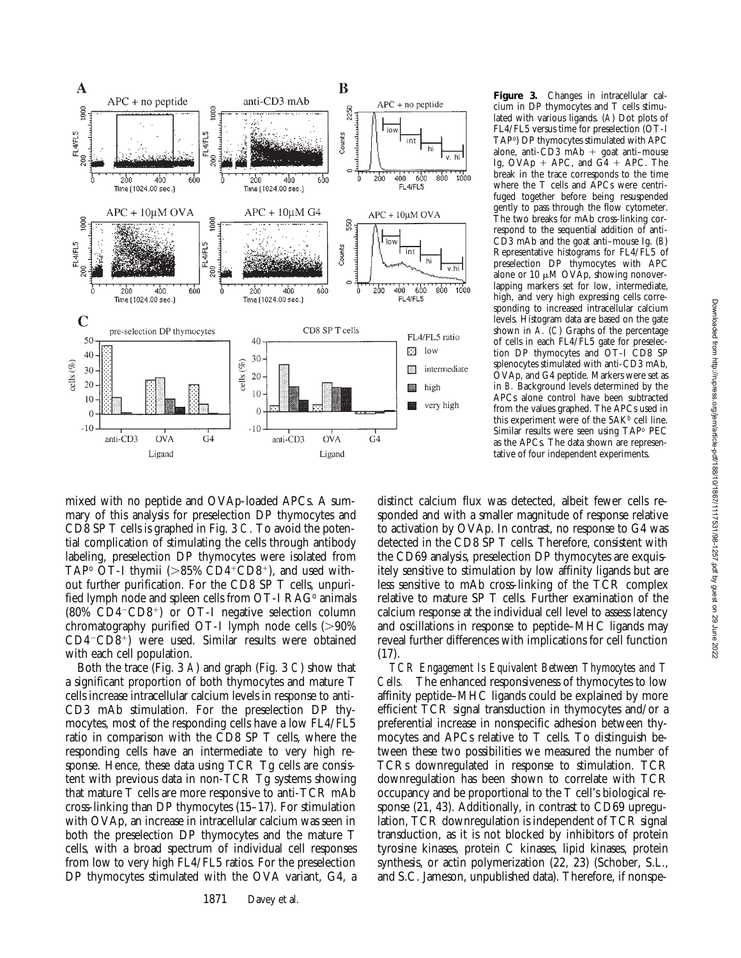

**Figure 3.** Changes in intracellular calcium in DP thymocytes and T cells stimulated with various ligands. (*A*) Dot plots of FL4/FL5 versus time for preselection (OT-I TAPo) DP thymocytes stimulated with APC alone, anti- $\check{CD}3 \check{m}Ab + \text{goat anti–mouse}$ Ig,  $OVAp + APC$ , and  $G4 + APC$ . The break in the trace corresponds to the time where the T cells and APCs were centrifuged together before being resuspended gently to pass through the flow cytometer. The two breaks for mAb cross-linking correspond to the sequential addition of anti-CD3 mAb and the goat anti–mouse Ig. (*B*) Representative histograms for FL4/FL5 of preselection DP thymocytes with APC alone or 10  $\mu$ M OVAp, showing nonoverlapping markers set for low, intermediate, high, and very high expressing cells corresponding to increased intracellular calcium levels. Histogram data are based on the gate shown in *A.* (*C*) Graphs of the percentage of cells in each FL4/FL5 gate for preselection DP thymocytes and OT-I CD8 SP splenocytes stimulated with anti-CD3 mAb, OVAp, and G4 peptide. Markers were set as in *B.* Background levels determined by the APCs alone control have been subtracted from the values graphed. The APCs used in this experiment were of the  $5AK<sup>b</sup>$  cell line. Similar results were seen using TAPo PEC as the APCs. The data shown are representative of four independent experiments.

mixed with no peptide and OVAp-loaded APCs. A summary of this analysis for preselection DP thymocytes and CD8 SP T cells is graphed in Fig. 3 *C.* To avoid the potential complication of stimulating the cells through antibody labeling, preselection DP thymocytes were isolated from TAP<sup>o</sup> OT-I thymii ( $>85\%$  CD4<sup>+</sup>CD8<sup>+</sup>), and used without further purification. For the CD8 SP T cells, unpurified lymph node and spleen cells from OT-I RAG<sup>o</sup> animals  $(80\% \text{ CD4}^{-} \text{CD8}^{+})$  or OT-I negative selection column chromatography purified OT-I lymph node cells  $(>90\%)$  $CD4-CD8+$ ) were used. Similar results were obtained with each cell population.

Both the trace (Fig. 3 *A*) and graph (Fig. 3 *C*) show that a significant proportion of both thymocytes and mature T cells increase intracellular calcium levels in response to anti-CD3 mAb stimulation. For the preselection DP thymocytes, most of the responding cells have a low FL4/FL5 ratio in comparison with the CD8 SP T cells, where the responding cells have an intermediate to very high response. Hence, these data using TCR Tg cells are consistent with previous data in non-TCR Tg systems showing that mature T cells are more responsive to anti-TCR mAb cross-linking than DP thymocytes (15–17). For stimulation with OVAp, an increase in intracellular calcium was seen in both the preselection DP thymocytes and the mature T cells, with a broad spectrum of individual cell responses from low to very high FL4/FL5 ratios. For the preselection DP thymocytes stimulated with the OVA variant, G4, a

distinct calcium flux was detected, albeit fewer cells responded and with a smaller magnitude of response relative to activation by OVAp. In contrast, no response to G4 was detected in the CD8 SP T cells. Therefore, consistent with the CD69 analysis, preselection DP thymocytes are exquisitely sensitive to stimulation by low affinity ligands but are less sensitive to mAb cross-linking of the TCR complex relative to mature SP T cells. Further examination of the calcium response at the individual cell level to assess latency and oscillations in response to peptide–MHC ligands may reveal further differences with implications for cell function (17).

*TCR Engagement Is Equivalent Between Thymocytes and T Cells.* The enhanced responsiveness of thymocytes to low affinity peptide–MHC ligands could be explained by more efficient TCR signal transduction in thymocytes and/or a preferential increase in nonspecific adhesion between thymocytes and APCs relative to T cells. To distinguish between these two possibilities we measured the number of TCRs downregulated in response to stimulation. TCR downregulation has been shown to correlate with TCR occupancy and be proportional to the T cell's biological response (21, 43). Additionally, in contrast to CD69 upregulation, TCR downregulation is independent of TCR signal transduction, as it is not blocked by inhibitors of protein tyrosine kinases, protein C kinases, lipid kinases, protein synthesis, or actin polymerization (22, 23) (Schober, S.L., and S.C. Jameson, unpublished data). Therefore, if nonspe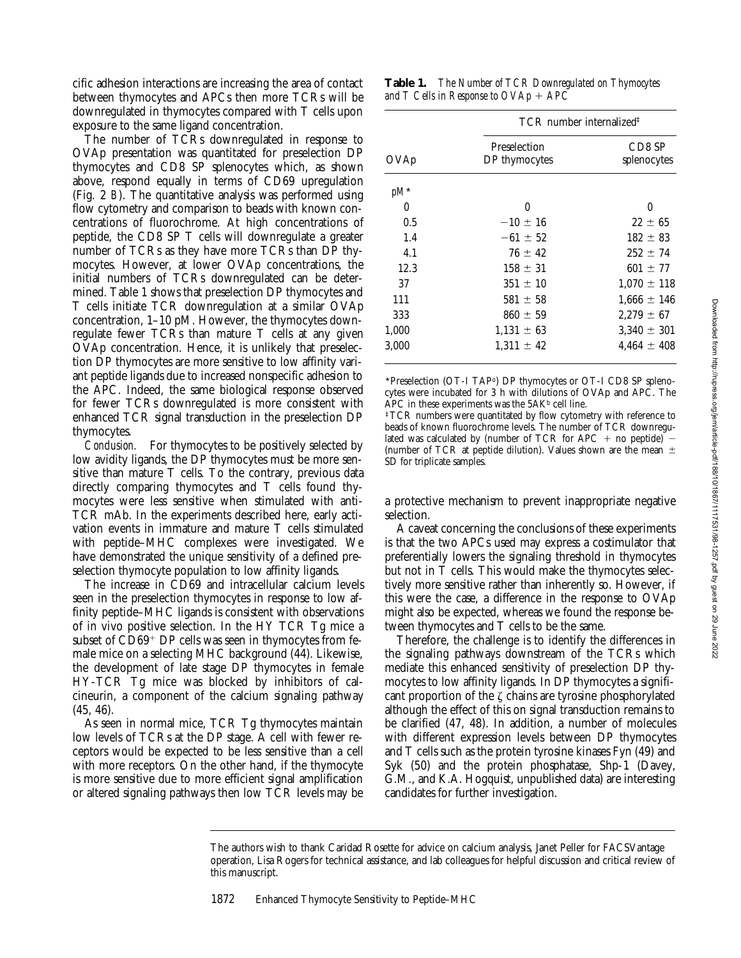cific adhesion interactions are increasing the area of contact between thymocytes and APCs then more TCRs will be downregulated in thymocytes compared with T cells upon exposure to the same ligand concentration.

The number of TCRs downregulated in response to OVAp presentation was quantitated for preselection DP thymocytes and CD8 SP splenocytes which, as shown above, respond equally in terms of CD69 upregulation (Fig. 2 *B*). The quantitative analysis was performed using flow cytometry and comparison to beads with known concentrations of fluorochrome. At high concentrations of peptide, the CD8 SP T cells will downregulate a greater number of TCRs as they have more TCRs than DP thymocytes. However, at lower OVAp concentrations, the initial numbers of TCRs downregulated can be determined. Table 1 shows that preselection DP thymocytes and T cells initiate TCR downregulation at a similar OVAp concentration, 1–10 pM. However, the thymocytes downregulate fewer TCRs than mature T cells at any given OVAp concentration. Hence, it is unlikely that preselection DP thymocytes are more sensitive to low affinity variant peptide ligands due to increased nonspecific adhesion to the APC. Indeed, the same biological response observed for fewer TCRs downregulated is more consistent with enhanced TCR signal transduction in the preselection DP thymocytes.

*Conclusion.* For thymocytes to be positively selected by low avidity ligands, the DP thymocytes must be more sensitive than mature T cells. To the contrary, previous data directly comparing thymocytes and T cells found thymocytes were less sensitive when stimulated with anti-TCR mAb. In the experiments described here, early activation events in immature and mature T cells stimulated with peptide–MHC complexes were investigated. We have demonstrated the unique sensitivity of a defined preselection thymocyte population to low affinity ligands.

The increase in CD69 and intracellular calcium levels seen in the preselection thymocytes in response to low affinity peptide–MHC ligands is consistent with observations of in vivo positive selection. In the HY TCR Tg mice a subset of  $CD69<sup>+</sup>$  DP cells was seen in thymocytes from female mice on a selecting MHC background (44). Likewise, the development of late stage DP thymocytes in female HY-TCR Tg mice was blocked by inhibitors of calcineurin, a component of the calcium signaling pathway (45, 46).

As seen in normal mice, TCR Tg thymocytes maintain low levels of TCRs at the DP stage. A cell with fewer receptors would be expected to be less sensitive than a cell with more receptors. On the other hand, if the thymocyte is more sensitive due to more efficient signal amplification or altered signaling pathways then low TCR levels may be

**Table 1.** *The Number of TCR Downregulated on Thymocytes and T Cells in Response to*  $OVAp + APC$ 

| OVAp   | TCR number internalized <sup>‡</sup> |                       |
|--------|--------------------------------------|-----------------------|
|        | Preselection<br>DP thymocytes        | CD8 SP<br>splenocytes |
| $pM^*$ |                                      |                       |
| 0      | $\theta$                             | 0                     |
| 0.5    | $-10 \pm 16$                         | $22 \pm 65$           |
| 1.4    | $-61 \pm 52$                         | $182 \pm 83$          |
| 4.1    | $76 \pm 42$                          | $252 \pm 74$          |
| 12.3   | $158 \pm 31$                         | $601 \pm 77$          |
| 37     | $351 \pm 10$                         | $1,070 \pm 118$       |
| 111    | $581 \pm 58$                         | $1,666 \pm 146$       |
| 333    | $860 \pm 59$                         | $2.279 \pm 67$        |
| 1,000  | $1,131 \pm 63$                       | $3,340 \pm 301$       |
| 3,000  | $1,311 \pm 42$                       | $4.464 \pm 408$       |

\*Preselection (OT-I TAPo) DP thymocytes or OT-I CD8 SP splenocytes were incubated for 3 h with dilutions of OVAp and APC. The APC in these experiments was the  $5AK<sup>b</sup>$  cell line.

‡TCR numbers were quantitated by flow cytometry with reference to beads of known fluorochrome levels. The number of TCR downregulated was calculated by (number of TCR for APC + no peptide)  $-$ (number of TCR at peptide dilution). Values shown are the mean  $\pm$ SD for triplicate samples.

a protective mechanism to prevent inappropriate negative selection.

A caveat concerning the conclusions of these experiments is that the two APCs used may express a costimulator that preferentially lowers the signaling threshold in thymocytes but not in T cells. This would make the thymocytes selectively more sensitive rather than inherently so. However, if this were the case, a difference in the response to OVAp might also be expected, whereas we found the response between thymocytes and T cells to be the same.

Therefore, the challenge is to identify the differences in the signaling pathways downstream of the TCRs which mediate this enhanced sensitivity of preselection DP thymocytes to low affinity ligands. In DP thymocytes a significant proportion of the  $\zeta$  chains are tyrosine phosphorylated although the effect of this on signal transduction remains to be clarified (47, 48). In addition, a number of molecules with different expression levels between DP thymocytes and T cells such as the protein tyrosine kinases Fyn (49) and Syk (50) and the protein phosphatase, Shp-1 (Davey, G.M., and K.A. Hogquist, unpublished data) are interesting candidates for further investigation.

1872 Enhanced Thymocyte Sensitivity to Peptide–MHC

The authors wish to thank Caridad Rosette for advice on calcium analysis, Janet Peller for FACSVantage operation, Lisa Rogers for technical assistance, and lab colleagues for helpful discussion and critical review of this manuscript.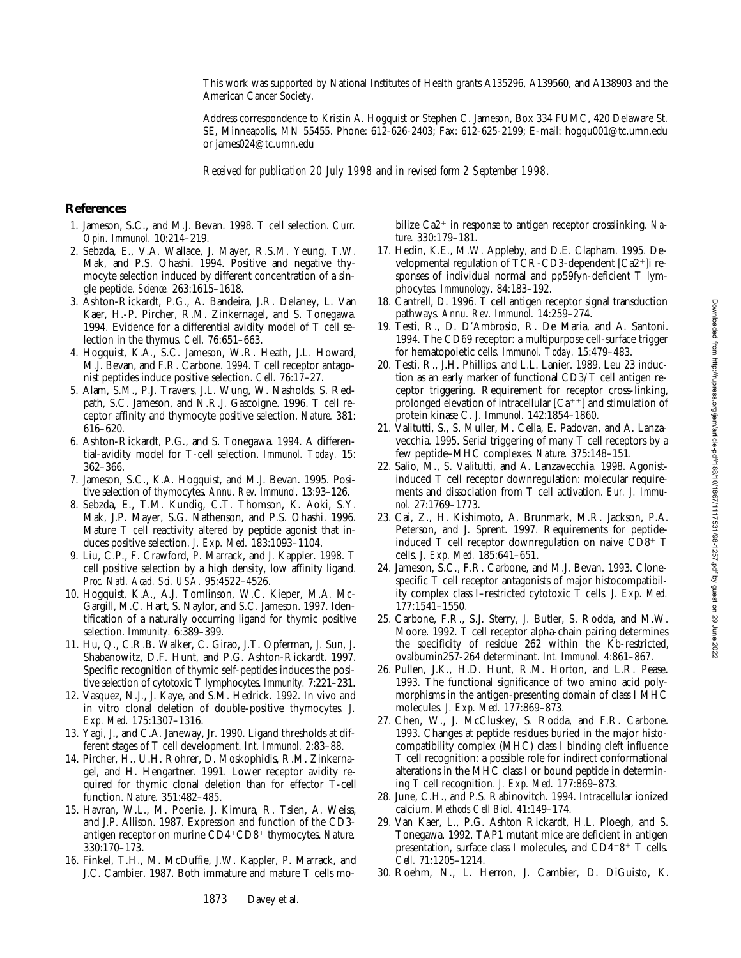This work was supported by National Institutes of Health grants A135296, A139560, and A138903 and the American Cancer Society.

Address correspondence to Kristin A. Hogquist or Stephen C. Jameson, Box 334 FUMC, 420 Delaware St. SE, Minneapolis, MN 55455. Phone: 612-626-2403; Fax: 612-625-2199; E-mail: hogqu001@tc.umn.edu or james024@tc.umn.edu

*Received for publication 20 July 1998 and in revised form 2 September 1998.*

#### **References**

- 1. Jameson, S.C., and M.J. Bevan. 1998. T cell selection. *Curr. Opin. Immunol.* 10:214–219.
- 2. Sebzda, E., V.A. Wallace, J. Mayer, R.S.M. Yeung, T.W. Mak, and P.S. Ohashi. 1994. Positive and negative thymocyte selection induced by different concentration of a single peptide. *Science.* 263:1615–1618.
- 3. Ashton-Rickardt, P.G., A. Bandeira, J.R. Delaney, L. Van Kaer, H.-P. Pircher, R.M. Zinkernagel, and S. Tonegawa. 1994. Evidence for a differential avidity model of T cell selection in the thymus. *Cell.* 76:651–663.
- 4. Hogquist, K.A., S.C. Jameson, W.R. Heath, J.L. Howard, M.J. Bevan, and F.R. Carbone. 1994. T cell receptor antagonist peptides induce positive selection. *Cell.* 76:17–27.
- 5. Alam, S.M., P.J. Travers, J.L. Wung, W. Nasholds, S. Redpath, S.C. Jameson, and N.R.J. Gascoigne. 1996. T cell receptor affinity and thymocyte positive selection. *Nature.* 381: 616–620.
- 6. Ashton-Rickardt, P.G., and S. Tonegawa. 1994. A differential-avidity model for T-cell selection. *Immunol. Today.* 15: 362–366.
- 7. Jameson, S.C., K.A. Hogquist, and M.J. Bevan. 1995. Positive selection of thymocytes. *Annu. Rev. Immunol.* 13:93–126.
- 8. Sebzda, E., T.M. Kundig, C.T. Thomson, K. Aoki, S.Y. Mak, J.P. Mayer, S.G. Nathenson, and P.S. Ohashi. 1996. Mature T cell reactivity altered by peptide agonist that induces positive selection. *J. Exp. Med.* 183:1093–1104.
- 9. Liu, C.P., F. Crawford, P. Marrack, and J. Kappler. 1998. T cell positive selection by a high density, low affinity ligand. *Proc. Natl. Acad. Sci. USA.* 95:4522–4526.
- 10. Hogquist, K.A., A.J. Tomlinson, W.C. Kieper, M.A. Mc-Gargill, M.C. Hart, S. Naylor, and S.C. Jameson. 1997. Identification of a naturally occurring ligand for thymic positive selection. *Immunity.* 6:389–399.
- 11. Hu, Q., C.R.B. Walker, C. Girao, J.T. Opferman, J. Sun, J. Shabanowitz, D.F. Hunt, and P.G. Ashton-Rickardt. 1997. Specific recognition of thymic self-peptides induces the positive selection of cytotoxic T lymphocytes. *Immunity.* 7:221–231.
- 12. Vasquez, N.J., J. Kaye, and S.M. Hedrick. 1992. In vivo and in vitro clonal deletion of double-positive thymocytes. *J. Exp. Med.* 175:1307–1316.
- 13. Yagi, J., and C.A. Janeway, Jr. 1990. Ligand thresholds at different stages of T cell development. *Int. Immunol.* 2:83–88.
- 14. Pircher, H., U.H. Rohrer, D. Moskophidis, R.M. Zinkernagel, and H. Hengartner. 1991. Lower receptor avidity required for thymic clonal deletion than for effector T-cell function. *Nature.* 351:482–485.
- 15. Havran, W.L., M. Poenie, J. Kimura, R. Tsien, A. Weiss, and J.P. Allison. 1987. Expression and function of the CD3 antigen receptor on murine CD4+CD8+ thymocytes. Nature. 330:170–173.
- 16. Finkel, T.H., M. McDuffie, J.W. Kappler, P. Marrack, and J.C. Cambier. 1987. Both immature and mature T cells mo-

bilize Ca2<sup>+</sup> in response to antigen receptor crosslinking. Na*ture.* 330:179–181.

- 17. Hedin, K.E., M.W. Appleby, and D.E. Clapham. 1995. Developmental regulation of TCR-CD3-dependent  $[Ca2+]$ i responses of individual normal and pp59fyn-deficient T lymphocytes. *Immunology.* 84:183–192.
- 18. Cantrell, D. 1996. T cell antigen receptor signal transduction pathways. *Annu. Rev. Immunol.* 14:259–274.
- 19. Testi, R., D. D'Ambrosio, R. De Maria, and A. Santoni. 1994. The CD69 receptor: a multipurpose cell-surface trigger for hematopoietic cells. *Immunol. Today.* 15:479–483.
- 20. Testi, R., J.H. Phillips, and L.L. Lanier. 1989. Leu 23 induction as an early marker of functional CD3/T cell antigen receptor triggering. Requirement for receptor cross-linking, prolonged elevation of intracellular  $[Ca^{++}]$  and stimulation of protein kinase C. *J. Immunol.* 142:1854–1860.
- 21. Valitutti, S., S. Muller, M. Cella, E. Padovan, and A. Lanzavecchia. 1995. Serial triggering of many T cell receptors by a few peptide–MHC complexes. *Nature.* 375:148–151.
- 22. Salio, M., S. Valitutti, and A. Lanzavecchia. 1998. Agonistinduced T cell receptor downregulation: molecular requirements and dissociation from T cell activation. *Eur. J. Immunol.* 27:1769–1773.
- 23. Cai, Z., H. Kishimoto, A. Brunmark, M.R. Jackson, P.A. Peterson, and J. Sprent. 1997. Requirements for peptideinduced T cell receptor downregulation on naive  $CD8^+$  T cells. *J. Exp. Med.* 185:641–651.
- 24. Jameson, S.C., F.R. Carbone, and M.J. Bevan. 1993. Clonespecific T cell receptor antagonists of major histocompatibility complex class I–restricted cytotoxic T cells. *J. Exp. Med.* 177:1541–1550.
- 25. Carbone, F.R., S.J. Sterry, J. Butler, S. Rodda, and M.W. Moore. 1992. T cell receptor alpha-chain pairing determines the specificity of residue 262 within the Kb-restricted, ovalbumin257-264 determinant. *Int. Immunol.* 4:861–867.
- 26. Pullen, J.K., H.D. Hunt, R.M. Horton, and L.R. Pease. 1993. The functional significance of two amino acid polymorphisms in the antigen-presenting domain of class I MHC molecules. *J. Exp. Med.* 177:869–873.
- 27. Chen, W., J. McCluskey, S. Rodda, and F.R. Carbone. 1993. Changes at peptide residues buried in the major histocompatibility complex (MHC) class I binding cleft influence T cell recognition: a possible role for indirect conformational alterations in the MHC class I or bound peptide in determining T cell recognition. *J. Exp. Med.* 177:869–873.
- 28. June, C.H., and P.S. Rabinovitch. 1994. Intracellular ionized calcium. *Methods Cell Biol.* 41:149–174.
- 29. Van Kaer, L., P.G. Ashton Rickardt, H.L. Ploegh, and S. Tonegawa. 1992. TAP1 mutant mice are deficient in antigen presentation, surface class I molecules, and  $CD4-8^+$  T cells. *Cell.* 71:1205–1214.
- 30. Roehm, N., L. Herron, J. Cambier, D. DiGuisto, K.